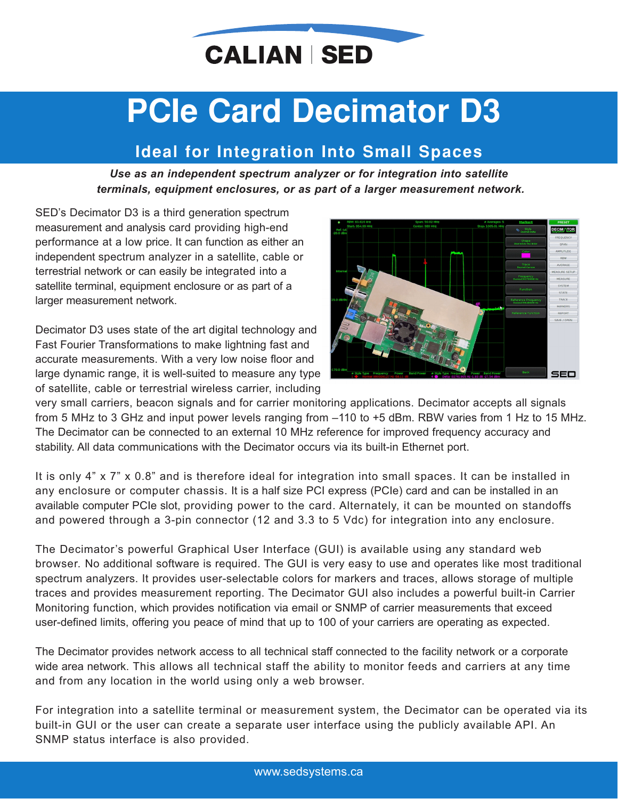

# **PCIe Card Decimator D3**

# **Ideal for Integration Into Small Spaces**

*Use as an independent spectrum analyzer or for integration into satellite terminals, equipment enclosures, or as part of a larger measurement network.*

SED's Decimator D3 is a third generation spectrum measurement and analysis card providing high-end performance at a low price. It can function as either an independent spectrum analyzer in a satellite, cable or terrestrial network or can easily be integrated into a satellite terminal, equipment enclosure or as part of a larger measurement network.

Decimator D3 uses state of the art digital technology and Fast Fourier Transformations to make lightning fast and accurate measurements. With a very low noise floor and large dynamic range, it is well-suited to measure any type of satellite, cable or terrestrial wireless carrier, including



very small carriers, beacon signals and for carrier monitoring applications. Decimator accepts all signals from 5 MHz to 3 GHz and input power levels ranging from –110 to +5 dBm. RBW varies from 1 Hz to 15 MHz. The Decimator can be connected to an external 10 MHz reference for improved frequency accuracy and stability. All data communications with the Decimator occurs via its built-in Ethernet port.

It is only 4" x 7" x 0.8" and is therefore ideal for integration into small spaces. It can be installed in any enclosure or computer chassis. It is a half size PCI express (PCIe) card and can be installed in an available computer PCIe slot, providing power to the card. Alternately, it can be mounted on standoffs and powered through a 3-pin connector (12 and 3.3 to 5 Vdc) for integration into any enclosure.

The Decimator's powerful Graphical User Interface (GUI) is available using any standard web browser. No additional software is required. The GUI is very easy to use and operates like most traditional spectrum analyzers. It provides user-selectable colors for markers and traces, allows storage of multiple traces and provides measurement reporting. The Decimator GUI also includes a powerful built-in Carrier Monitoring function, which provides notification via email or SNMP of carrier measurements that exceed user-defined limits, offering you peace of mind that up to 100 of your carriers are operating as expected.

The Decimator provides network access to all technical staff connected to the facility network or a corporate wide area network. This allows all technical staff the ability to monitor feeds and carriers at any time and from any location in the world using only a web browser.

For integration into a satellite terminal or measurement system, the Decimator can be operated via its built-in GUI or the user can create a separate user interface using the publicly available API. An SNMP status interface is also provided.